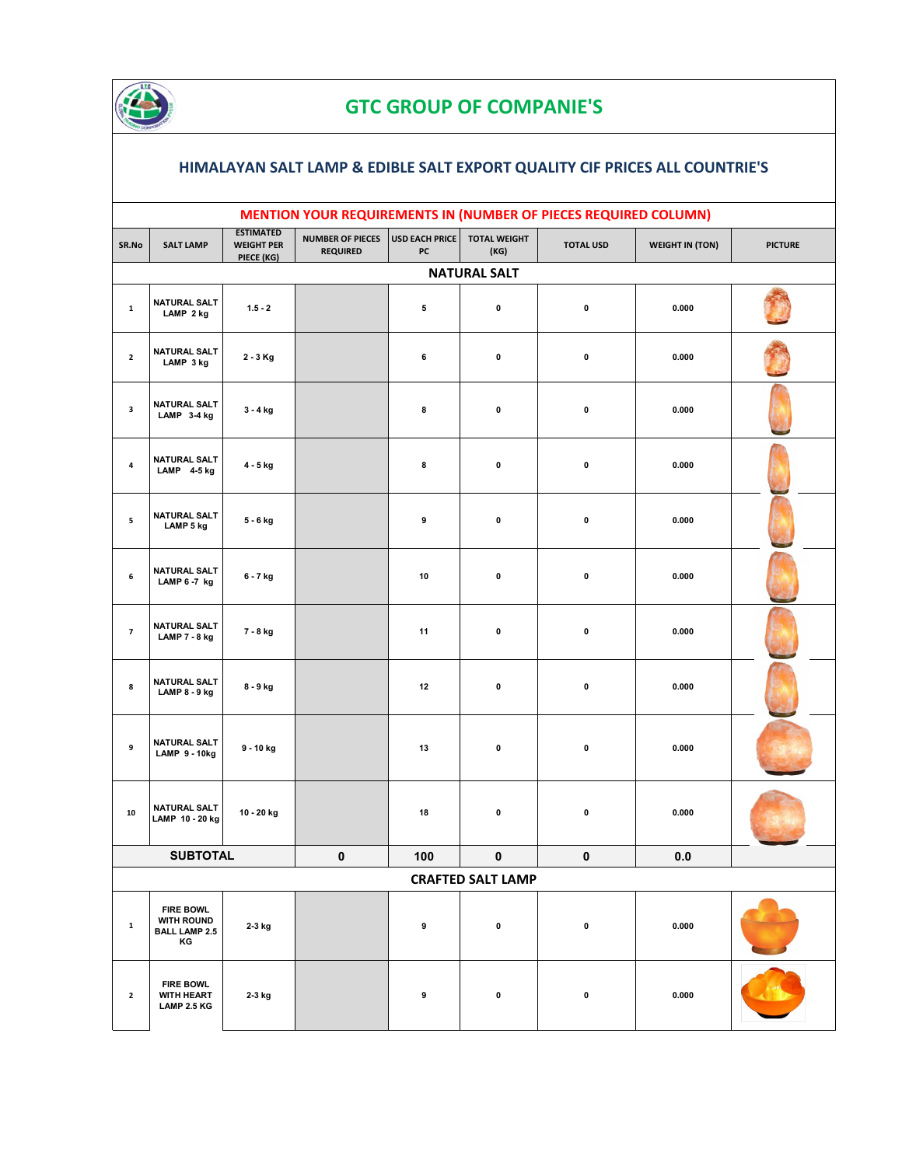

## **GTC GROUP OF COMPANIE'S**

## **HIMALAYAN SALT LAMP & EDIBLE SALT EXPORT QUALITY CIF PRICES ALL COUNTRIE'S**

|                | MENTION YOUR REQUIREMENTS IN (NUMBER OF PIECES REQUIRED COLUMN)     |                                                     |                                            |                             |                             |                  |                        |                |  |  |  |
|----------------|---------------------------------------------------------------------|-----------------------------------------------------|--------------------------------------------|-----------------------------|-----------------------------|------------------|------------------------|----------------|--|--|--|
| SR.No          | <b>SALT LAMP</b>                                                    | <b>ESTIMATED</b><br><b>WEIGHT PER</b><br>PIECE (KG) | <b>NUMBER OF PIECES</b><br><b>REQUIRED</b> | <b>USD EACH PRICE</b><br>PC | <b>TOTAL WEIGHT</b><br>(KG) | <b>TOTAL USD</b> | <b>WEIGHT IN (TON)</b> | <b>PICTURE</b> |  |  |  |
|                | <b>NATURAL SALT</b>                                                 |                                                     |                                            |                             |                             |                  |                        |                |  |  |  |
| $\mathbf 1$    | <b>NATURAL SALT</b><br>LAMP 2 kg                                    | $1.5 - 2$                                           |                                            | 5                           | $\pmb{0}$                   | $\pmb{0}$        | 0.000                  |                |  |  |  |
| $\overline{2}$ | NATURAL SALT<br>LAMP 3 kg                                           | $2 - 3$ Kg                                          |                                            | 6                           | $\pmb{0}$                   | $\pmb{0}$        | 0.000                  |                |  |  |  |
| $\mathbf{3}$   | NATURAL SALT<br>LAMP 3-4 kg                                         | 3 - 4 kg                                            |                                            | 8                           | 0                           | $\pmb{0}$        | 0.000                  |                |  |  |  |
| $\pmb{4}$      | NATURAL SALT<br>LAMP 4-5 kg                                         | 4 - 5 kg                                            |                                            | 8                           | $\pmb{0}$                   | $\pmb{0}$        | 0.000                  |                |  |  |  |
| 5              | NATURAL SALT<br>LAMP 5 kg                                           | 5 - 6 kg                                            |                                            | 9                           | $\pmb{0}$                   | $\pmb{0}$        | 0.000                  |                |  |  |  |
| 6              | <b>NATURAL SALT</b><br>LAMP 6-7 kg                                  | 6 - 7 kg                                            |                                            | 10                          | $\pmb{0}$                   | $\pmb{0}$        | 0.000                  |                |  |  |  |
| $\overline{7}$ | <b>NATURAL SALT</b><br>LAMP 7 - 8 kg                                | 7 - 8 kg                                            |                                            | 11                          | 0                           | $\pmb{0}$        | 0.000                  |                |  |  |  |
| 8              | NATURAL SALT<br>LAMP 8 - 9 kg                                       | 8 - 9 kg                                            |                                            | 12                          | $\pmb{0}$                   | $\pmb{0}$        | 0.000                  |                |  |  |  |
| 9              | NATURAL SALT<br><b>LAMP 9 - 10kg</b>                                | 9 - 10 kg                                           |                                            | 13                          | $\pmb{0}$                   | $\pmb{0}$        | 0.000                  |                |  |  |  |
| ${\bf 10}$     | NATURAL SALT<br>LAMP 10 - 20 kg                                     | 10 - 20 kg                                          |                                            | 18                          | 0                           | $\pmb{0}$        | 0.000                  |                |  |  |  |
|                | <b>SUBTOTAL</b>                                                     |                                                     | $\mathbf{0}$                               | 100                         | $\pmb{0}$                   | $\mathbf{0}$     | 0.0                    |                |  |  |  |
|                |                                                                     |                                                     |                                            |                             | <b>CRAFTED SALT LAMP</b>    |                  |                        |                |  |  |  |
| $\mathbf{1}$   | <b>FIRE BOWL</b><br><b>WITH ROUND</b><br><b>BALL LAMP 2.5</b><br>KG | 2-3 kg                                              |                                            | 9                           | 0                           | 0                | 0.000                  |                |  |  |  |
| $\mathbf{2}$   | <b>FIRE BOWL</b><br><b>WITH HEART</b><br><b>LAMP 2.5 KG</b>         | 2-3 kg                                              |                                            | 9                           | 0                           | 0                | 0.000                  |                |  |  |  |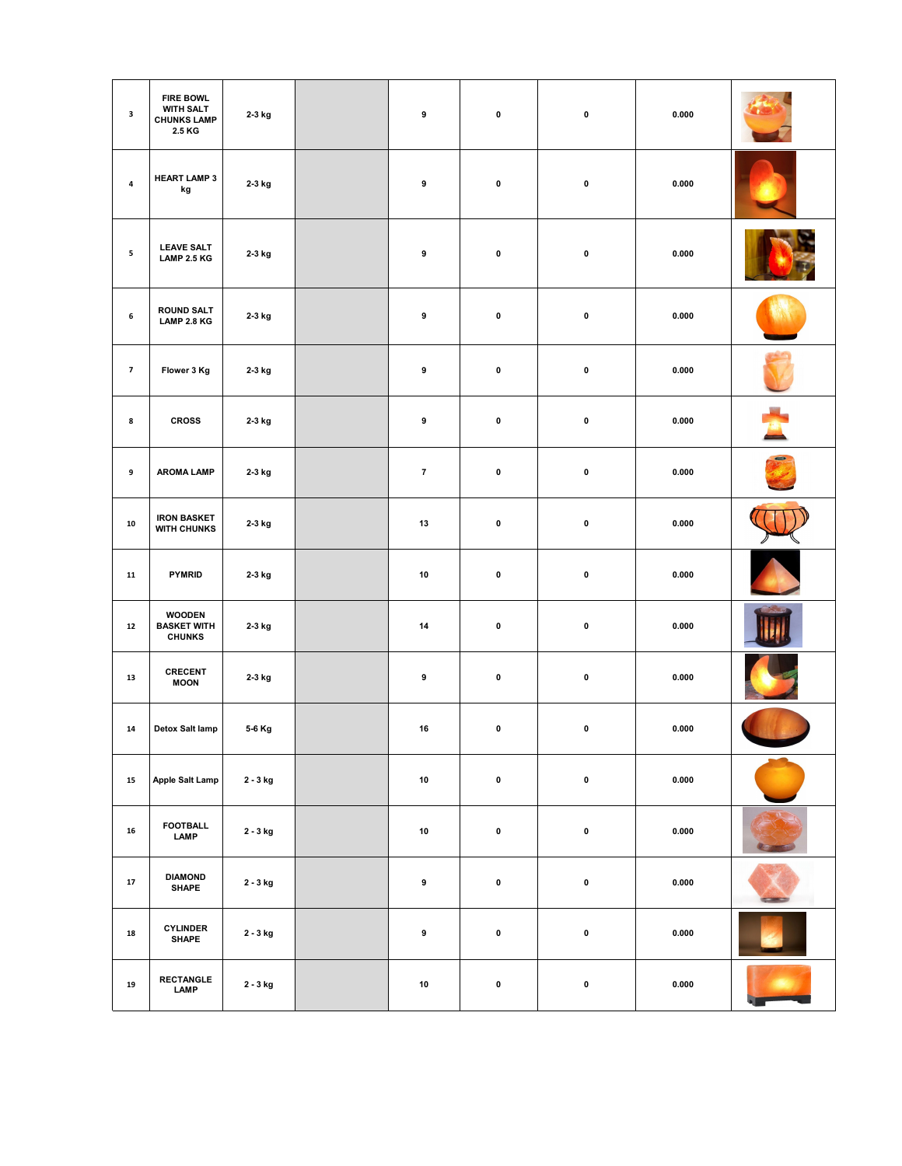| $\mathbf{3}$   | <b>FIRE BOWL</b><br><b>WITH SALT</b><br><b>CHUNKS LAMP</b><br>2.5 KG | 2-3 kg   | $\pmb{9}$      | $\pmb{0}$ | $\pmb{0}$ | 0.000 |                |
|----------------|----------------------------------------------------------------------|----------|----------------|-----------|-----------|-------|----------------|
| 4              | <b>HEART LAMP 3</b><br>kg                                            | 2-3 kg   | 9              | $\pmb{0}$ | $\pmb{0}$ | 0.000 |                |
| 5              | <b>LEAVE SALT</b><br><b>LAMP 2.5 KG</b>                              | 2-3 kg   | 9              | $\pmb{0}$ | $\pmb{0}$ | 0.000 |                |
| 6              | <b>ROUND SALT</b><br><b>LAMP 2.8 KG</b>                              | 2-3 kg   | 9              | 0         | $\pmb{0}$ | 0.000 |                |
| $\overline{7}$ | Flower 3 Kg                                                          | 2-3 kg   | 9              | $\pmb{0}$ | $\pmb{0}$ | 0.000 |                |
| 8              | <b>CROSS</b>                                                         | 2-3 kg   | 9              | $\pmb{0}$ | $\pmb{0}$ | 0.000 |                |
| 9              | <b>AROMA LAMP</b>                                                    | 2-3 kg   | $\overline{7}$ | $\pmb{0}$ | $\pmb{0}$ | 0.000 |                |
| ${\bf 10}$     | <b>IRON BASKET</b><br><b>WITH CHUNKS</b>                             | 2-3 kg   | 13             | $\pmb{0}$ | $\pmb{0}$ | 0.000 |                |
| ${\bf 11}$     | PYMRID                                                               | 2-3 kg   | 10             | 0         | $\pmb{0}$ | 0.000 |                |
| ${\bf 12}$     | <b>WOODEN</b><br><b>BASKET WITH</b><br><b>CHUNKS</b>                 | 2-3 kg   | 14             | $\pmb{0}$ | $\pmb{0}$ | 0.000 |                |
| 13             | CRECENT<br><b>MOON</b>                                               | 2-3 kg   | $\pmb{9}$      | $\pmb{0}$ | $\pmb{0}$ | 0.000 |                |
| 14             | Detox Salt lamp                                                      | 5-6 Kg   | 16             | $\pmb{0}$ | $\pmb{0}$ | 0.000 |                |
| 15             | Apple Salt Lamp                                                      | 2 - 3 kg | 10             | $\pmb{0}$ | $\pmb{0}$ | 0.000 |                |
| 16             | <b>FOOTBALL</b><br>LAMP                                              | 2 - 3 kg | ${\bf 10}$     | $\pmb{0}$ | $\pmb{0}$ | 0.000 |                |
| ${\bf 17}$     | <b>DIAMOND</b><br><b>SHAPE</b>                                       | 2 - 3 kg | $\pmb{9}$      | $\pmb{0}$ | $\pmb{0}$ | 0.000 | <b>COMPANY</b> |
| ${\bf 18}$     | <b>CYLINDER</b><br><b>SHAPE</b>                                      | 2 - 3 kg | $\pmb{9}$      | $\pmb{0}$ | $\pmb{0}$ | 0.000 |                |
| 19             | <b>RECTANGLE</b><br>LAMP                                             | 2 - 3 kg | 10             | $\pmb{0}$ | $\pmb{0}$ | 0.000 |                |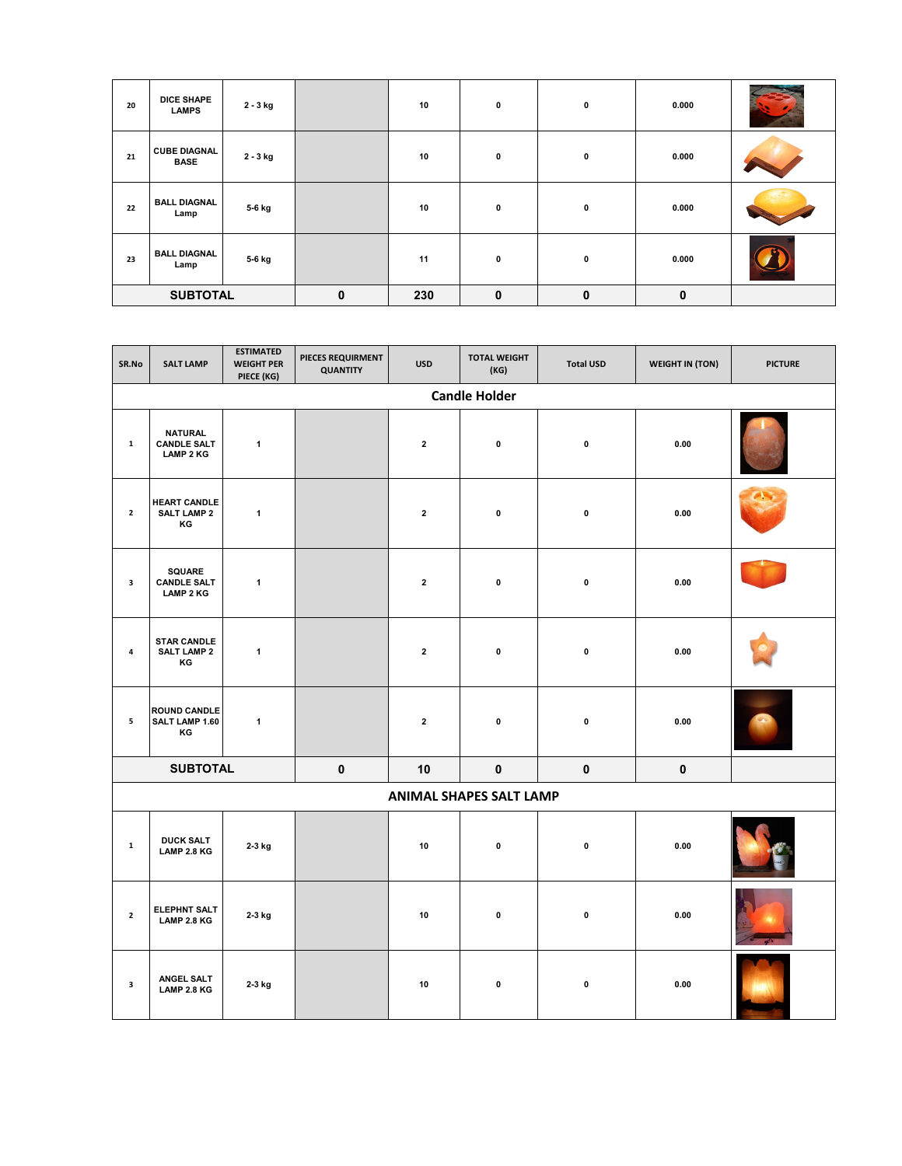| 20              | <b>DICE SHAPE</b><br><b>LAMPS</b>  | 2 - 3 kg    |     | 10          | 0           | 0           | 0.000 |  |
|-----------------|------------------------------------|-------------|-----|-------------|-------------|-------------|-------|--|
| 21              | <b>CUBE DIAGNAL</b><br><b>BASE</b> | 2 - 3 kg    |     | 10          | 0           | 0           | 0.000 |  |
| 22              | <b>BALL DIAGNAL</b><br>Lamp        | 5-6 kg      |     | 10          | 0           | 0           | 0.000 |  |
| 23              | <b>BALL DIAGNAL</b><br>Lamp        | 5-6 kg      |     | 11          | 0           | $\mathbf 0$ | 0.000 |  |
| <b>SUBTOTAL</b> |                                    | $\mathbf 0$ | 230 | $\mathbf 0$ | $\mathbf 0$ | $\mathbf 0$ |       |  |

| SR.No                   | <b>SALT LAMP</b>                                         | <b>ESTIMATED</b><br><b>WEIGHT PER</b><br>PIECE (KG) | PIECES REQUIRMENT<br><b>QUANTITY</b> | <b>USD</b>   | <b>TOTAL WEIGHT</b><br>(KG)    | <b>Total USD</b> | <b>WEIGHT IN (TON)</b> | <b>PICTURE</b> |  |  |  |
|-------------------------|----------------------------------------------------------|-----------------------------------------------------|--------------------------------------|--------------|--------------------------------|------------------|------------------------|----------------|--|--|--|
|                         | <b>Candle Holder</b>                                     |                                                     |                                      |              |                                |                  |                        |                |  |  |  |
| $\mathbf 1$             | <b>NATURAL</b><br><b>CANDLE SALT</b><br><b>LAMP 2 KG</b> | $\mathbf{1}$                                        |                                      | $\mathbf{2}$ | $\pmb{0}$                      | $\pmb{0}$        | 0.00                   |                |  |  |  |
| $\overline{2}$          | <b>HEART CANDLE</b><br><b>SALT LAMP 2</b><br>KG          | $\mathbf{1}$                                        |                                      | $\mathbf{2}$ | $\mathbf 0$                    | $\mathbf 0$      | 0.00                   |                |  |  |  |
| 3                       | <b>SQUARE</b><br><b>CANDLE SALT</b><br><b>LAMP 2 KG</b>  | $\mathbf{1}$                                        |                                      | $\mathbf{2}$ | $\pmb{0}$                      | $\pmb{0}$        | 0.00                   |                |  |  |  |
| 4                       | <b>STAR CANDLE</b><br><b>SALT LAMP 2</b><br>KG           | 1                                                   |                                      | $\mathbf 2$  | 0                              | $\pmb{0}$        | 0.00                   |                |  |  |  |
| 5                       | <b>ROUND CANDLE</b><br>SALT LAMP 1.60<br>ΚG              | $\mathbf{1}$                                        |                                      | $\bf 2$      | $\pmb{0}$                      | $\pmb{0}$        | 0.00                   |                |  |  |  |
|                         | <b>SUBTOTAL</b>                                          |                                                     | $\mathbf 0$                          | 10           | $\mathbf{0}$                   | $\pmb{0}$        | 0                      |                |  |  |  |
|                         |                                                          |                                                     |                                      |              | <b>ANIMAL SHAPES SALT LAMP</b> |                  |                        |                |  |  |  |
| $\mathbf 1$             | <b>DUCK SALT</b><br>LAMP 2.8 KG                          | 2-3 kg                                              |                                      | 10           | $\pmb{0}$                      | $\pmb{0}$        | 0.00                   |                |  |  |  |
| $\mathbf{2}$            | ELEPHNT SALT<br>LAMP 2.8 KG                              | 2-3 kg                                              |                                      | 10           | $\pmb{0}$                      | $\pmb{0}$        | 0.00                   |                |  |  |  |
| $\overline{\mathbf{3}}$ | ANGEL SALT<br>LAMP 2.8 KG                                | 2-3 kg                                              |                                      | 10           | $\pmb{0}$                      | $\pmb{0}$        | 0.00                   |                |  |  |  |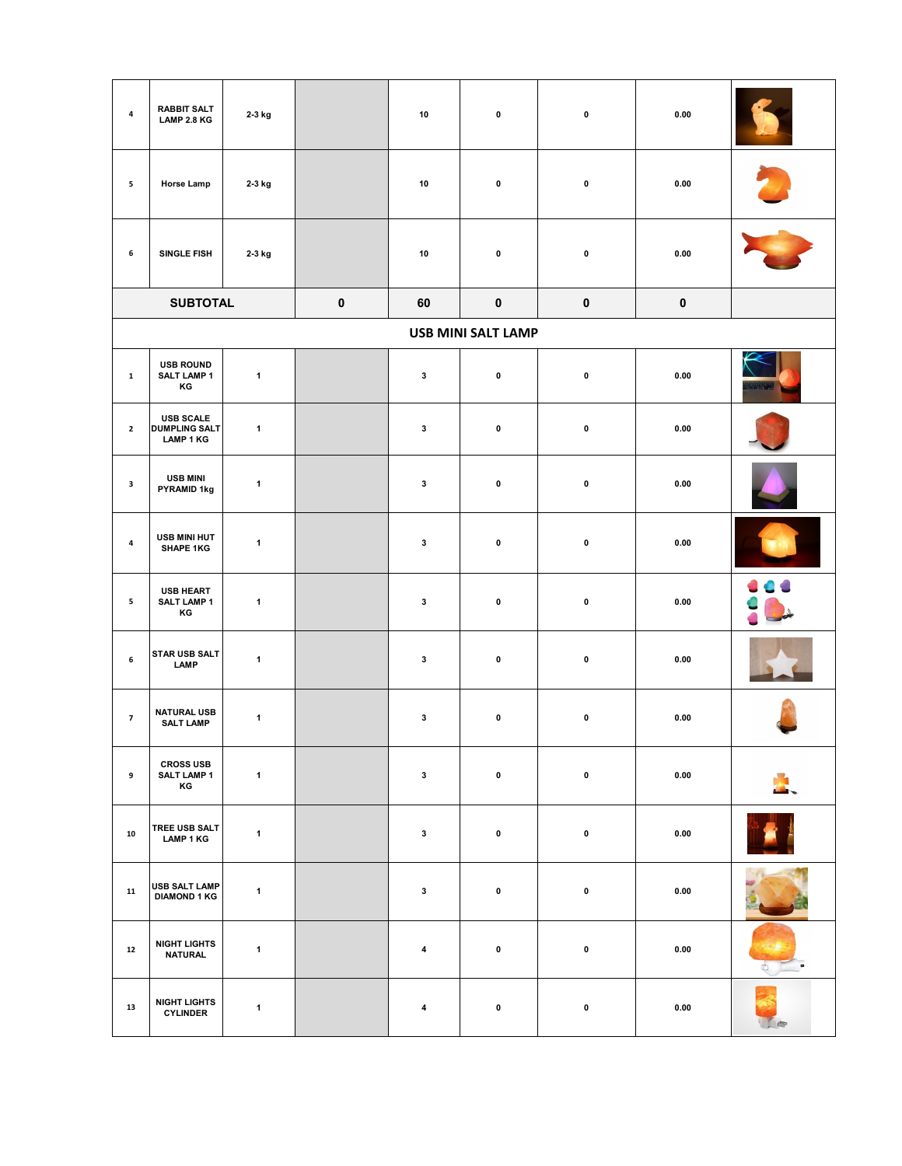| 4              | <b>RABBIT SALT</b><br>LAMP 2.8 KG                            | 2-3 kg       |             | 10                      | 0                         | $\pmb{0}$   | 0.00        |   |
|----------------|--------------------------------------------------------------|--------------|-------------|-------------------------|---------------------------|-------------|-------------|---|
| 5              | Horse Lamp                                                   | 2-3 kg       |             | 10                      | $\pmb{0}$                 | $\pmb{0}$   | 0.00        |   |
| 6              | SINGLE FISH                                                  | 2-3 kg       |             | 10                      | 0                         | $\pmb{0}$   | 0.00        |   |
|                | <b>SUBTOTAL</b>                                              |              | $\mathbf 0$ | 60                      | $\mathbf 0$               | $\mathbf 0$ | $\mathbf 0$ |   |
|                |                                                              |              |             |                         | <b>USB MINI SALT LAMP</b> |             |             |   |
| $\mathbf 1$    | <b>USB ROUND</b><br><b>SALT LAMP 1</b><br>ΚG                 | $\mathbf{1}$ |             | $\mathbf{3}$            | 0                         | $\pmb{0}$   | 0.00        |   |
| $\mathbf{2}$   | <b>USB SCALE</b><br><b>DUMPLING SALT</b><br><b>LAMP 1 KG</b> | $\mathbf{1}$ |             | $\mathbf{3}$            | $\pmb{0}$                 | $\pmb{0}$   | 0.00        |   |
| $\mathbf{3}$   | <b>USB MINI</b><br>PYRAMID 1kg                               | $\mathbf{1}$ |             | 3                       | 0                         | $\pmb{0}$   | 0.00        |   |
| 4              | USB MINI HUT<br><b>SHAPE 1KG</b>                             | $\mathbf{1}$ |             | 3                       | 0                         | $\pmb{0}$   | 0.00        |   |
| 5              | USB HEART<br><b>SALT LAMP 1</b><br>ΚG                        | $\mathbf{1}$ |             | $\mathbf{3}$            | $\pmb{0}$                 | $\pmb{0}$   | 0.00        |   |
| 6              | <b>STAR USB SALT</b><br>LAMP                                 | $\mathbf{1}$ |             | 3                       | 0                         | $\pmb{0}$   | 0.00        |   |
| $\overline{7}$ | <b>NATURAL USB</b><br><b>SALT LAMP</b>                       | $\mathbf{1}$ |             | $\mathbf{3}$            | 0                         | $\pmb{0}$   | 0.00        |   |
| 9              | <b>CROSS USB</b><br><b>SALT LAMP 1</b><br>ΚG                 | $\mathbf{1}$ |             | $\mathbf{3}$            | $\pmb{0}$                 | $\pmb{0}$   | 0.00        |   |
| ${\bf 10}$     | TREE USB SALT<br><b>LAMP 1 KG</b>                            | $\mathbf{1}$ |             | $\mathbf{3}$            | $\pmb{0}$                 | $\pmb{0}$   | 0.00        |   |
| 11             | USB SALT LAMP<br><b>DIAMOND 1 KG</b>                         | $\mathbf{1}$ |             | $\mathbf{3}$            | $\pmb{0}$                 | $\pmb{0}$   | 0.00        |   |
| 12             | <b>NIGHT LIGHTS</b><br><b>NATURAL</b>                        | $\mathbf{1}$ |             | $\overline{\mathbf{4}}$ | $\pmb{0}$                 | $\pmb{0}$   | 0.00        |   |
| 13             | <b>NIGHT LIGHTS</b><br><b>CYLINDER</b>                       | $\mathbf{1}$ |             | $\overline{\mathbf{4}}$ | 0                         | $\pmb{0}$   | 0.00        | 命 |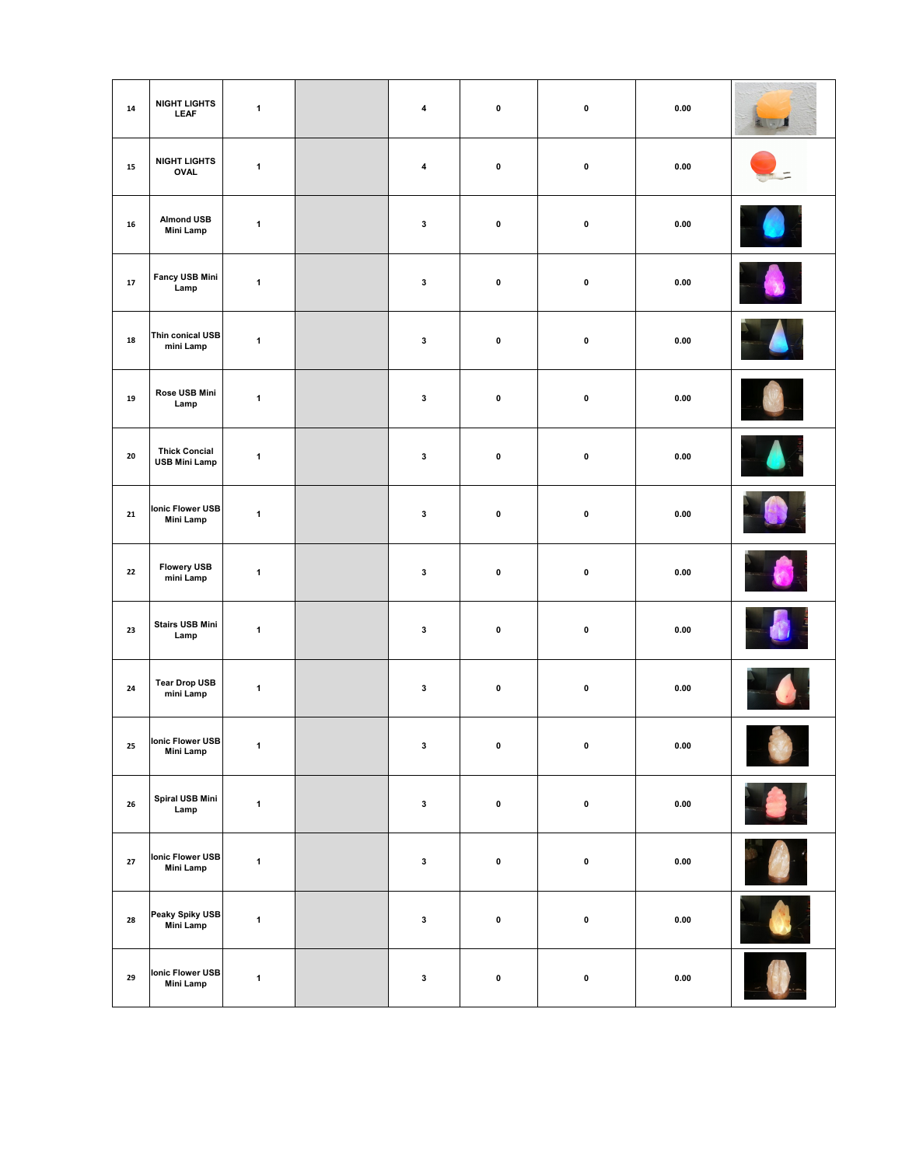| ${\bf 14}$ | <b>NIGHT LIGHTS</b><br><b>LEAF</b>           | $\mathbf{1}$ | $\overline{\mathbf{4}}$ | $\pmb{0}$   | $\pmb{0}$ | 0.00                | 151 |
|------------|----------------------------------------------|--------------|-------------------------|-------------|-----------|---------------------|-----|
| ${\bf 15}$ | <b>NIGHT LIGHTS</b><br>OVAL                  | $\mathbf 1$  | $\pmb{4}$               | $\pmb{0}$   | $\pmb{0}$ | 0.00                |     |
| 16         | <b>Almond USB</b><br><b>Mini Lamp</b>        | $\mathbf 1$  | $\mathbf{3}$            | $\pmb{0}$   | $\pmb{0}$ | 0.00                |     |
| ${\bf 17}$ | Fancy USB Mini<br>Lamp                       | $\mathbf{1}$ | $\mathbf{3}$            | $\pmb{0}$   | $\pmb{0}$ | 0.00                |     |
| ${\bf 18}$ | Thin conical USB<br>mini Lamp                | $\mathbf{1}$ | $\mathbf{3}$            | $\pmb{0}$   | $\pmb{0}$ | 0.00                |     |
| ${\bf 19}$ | Rose USB Mini<br>Lamp                        | $\mathbf 1$  | $\mathbf 3$             | $\pmb{0}$   | $\pmb{0}$ | 0.00                |     |
| 20         | <b>Thick Concial</b><br><b>USB Mini Lamp</b> | $\mathbf 1$  | $\mathbf{3}$            | $\pmb{0}$   | $\pmb{0}$ | 0.00                |     |
| 21         | Ionic Flower USB<br>Mini Lamp                | $\mathbf{1}$ | $\mathbf 3$             | $\pmb{0}$   | $\pmb{0}$ | 0.00                |     |
| 22         | <b>Flowery USB</b><br>mini Lamp              | $\mathbf{1}$ | $\mathbf{3}$            | 0           | $\pmb{0}$ | 0.00                |     |
| 23         | <b>Stairs USB Mini</b><br>Lamp               | $\mathbf 1$  | $\mathbf{3}$            | $\pmb{0}$   | $\pmb{0}$ | 0.00                |     |
| ${\bf 24}$ | <b>Tear Drop USB</b><br>mini Lamp            | $\mathbf{1}$ | $\mathbf 3$             | $\mathbf 0$ | $\pmb{0}$ | 0.00                |     |
| 25         | <b>Ionic Flower USB</b><br>Mini Lamp         | $\mathbf{1}$ | $\mathbf 3$             | $\pmb{0}$   | $\pmb{0}$ | $\boldsymbol{0.00}$ |     |
| 26         | Spiral USB Mini<br>Lamp                      | $\mathbf 1$  | $\mathbf 3$             | $\pmb{0}$   | $\pmb{0}$ | 0.00                |     |
| 27         | Ionic Flower USB<br><b>Mini Lamp</b>         | $\mathbf{1}$ | $\mathbf 3$             | $\mathbf 0$ | $\pmb{0}$ | 0.00                |     |
| 28         | Peaky Spiky USB<br>Mini Lamp                 | $\mathbf{1}$ | $\mathbf 3$             | $\pmb{0}$   | $\pmb{0}$ | 0.00                |     |
| 29         | Ionic Flower USB<br><b>Mini Lamp</b>         | $\mathbf{1}$ | $\mathbf 3$             | $\pmb{0}$   | $\pmb{0}$ | $\bf 0.00$          |     |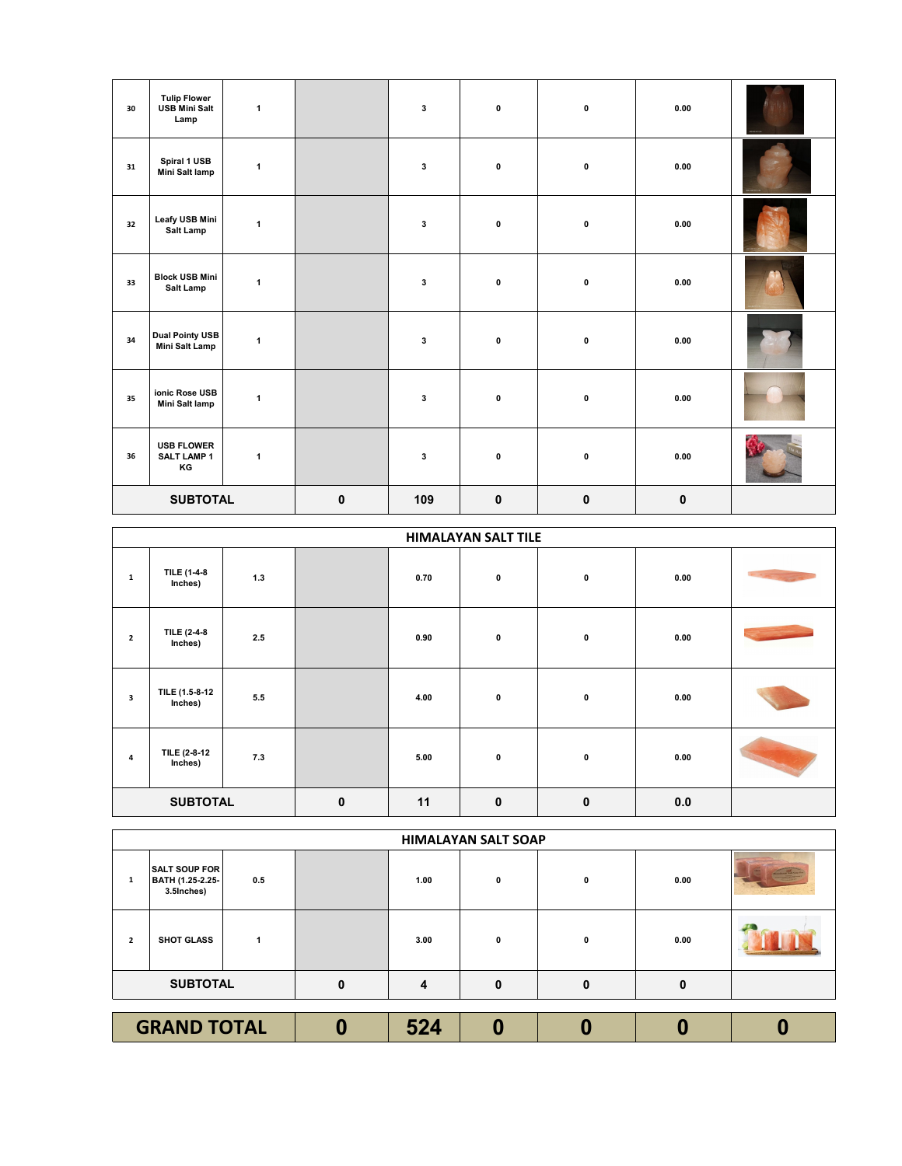| 30 | <b>Tulip Flower</b><br><b>USB Mini Salt</b><br>Lamp | $\mathbf{1}$ |             | $\mathbf{3}$ | $\pmb{0}$   | $\pmb{0}$   | 0.00      |  |
|----|-----------------------------------------------------|--------------|-------------|--------------|-------------|-------------|-----------|--|
| 31 | Spiral 1 USB<br><b>Mini Salt lamp</b>               | $\mathbf{1}$ |             | $\mathbf{3}$ | 0           | $\pmb{0}$   | 0.00      |  |
| 32 | Leafy USB Mini<br>Salt Lamp                         | $\mathbf{1}$ |             | $\mathbf{3}$ | 0           | 0           | 0.00      |  |
| 33 | <b>Block USB Mini</b><br>Salt Lamp                  | $\mathbf{1}$ |             | 3            | $\mathbf 0$ | 0           | 0.00      |  |
| 34 | <b>Dual Pointy USB</b><br><b>Mini Salt Lamp</b>     | $\mathbf{1}$ |             | $\mathbf{3}$ | $\pmb{0}$   | $\pmb{0}$   | 0.00      |  |
| 35 | ionic Rose USB<br>Mini Salt lamp                    | $\mathbf{1}$ |             | $\mathbf{3}$ | 0           | $\pmb{0}$   | 0.00      |  |
| 36 | <b>USB FLOWER</b><br><b>SALT LAMP 1</b><br>KG       | $\mathbf{1}$ |             | $\bf 3$      | 0           | $\pmb{0}$   | 0.00      |  |
|    | <b>SUBTOTAL</b>                                     |              | $\mathbf 0$ | 109          | $\mathbf 0$ | $\mathbf 0$ | $\pmb{0}$ |  |

|                 | <b>HIMALAYAN SALT TILE</b> |       |             |      |             |              |      |                |  |  |  |
|-----------------|----------------------------|-------|-------------|------|-------------|--------------|------|----------------|--|--|--|
| $\mathbf{1}$    | TILE (1-4-8<br>Inches)     | $1.3$ |             | 0.70 | $\pmb{0}$   | 0            | 0.00 |                |  |  |  |
| $\overline{2}$  | TILE (2-4-8<br>Inches)     | 2.5   |             | 0.90 | 0           | 0            | 0.00 | <b>Service</b> |  |  |  |
| 3               | TILE (1.5-8-12<br>Inches)  | 5.5   |             | 4.00 | 0           | 0            | 0.00 |                |  |  |  |
| 4               | TILE (2-8-12<br>Inches)    | 7.3   |             | 5.00 | $\pmb{0}$   | 0            | 0.00 |                |  |  |  |
| <b>SUBTOTAL</b> |                            |       | $\mathbf 0$ | 11   | $\mathbf 0$ | $\mathbf{0}$ | 0.0  |                |  |  |  |

|                    | <b>HIMALAYAN SALT SOAP</b>                             |     |  |      |   |   |      |  |  |  |
|--------------------|--------------------------------------------------------|-----|--|------|---|---|------|--|--|--|
| 1                  | <b>SALT SOUP FOR</b><br>BATH (1.25-2.25-<br>3.5Inches) | 0.5 |  | 1.00 | 0 | 0 | 0.00 |  |  |  |
| $\overline{2}$     | <b>SHOT GLASS</b>                                      |     |  | 3.00 | 0 | 0 | 0.00 |  |  |  |
| <b>SUBTOTAL</b>    |                                                        | 0   |  | 0    | O | 0 |      |  |  |  |
|                    |                                                        |     |  |      |   |   |      |  |  |  |
| <b>GRAND TOTAL</b> |                                                        |     |  | 524  |   |   |      |  |  |  |